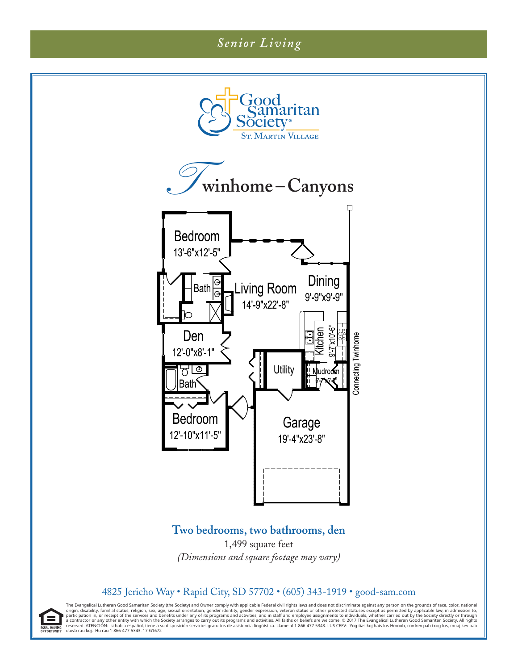## *Senior Living*



The Evangelical Lutheran Good Samaritan Society (the Society) and Owner comply with applicable Federal civil rights laws and does not discriminate against any person on the grounds of race, color, national origin, disability, familial status, religion, sex, age, sexual orientation, gender dentity, gender expression, veteran status or other protected statuses except as permitted by applicable law, in admission to, or receipt

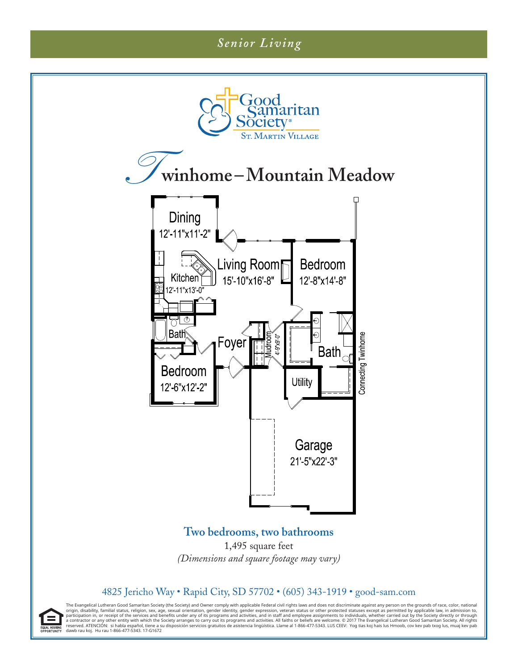## *Senior Living*

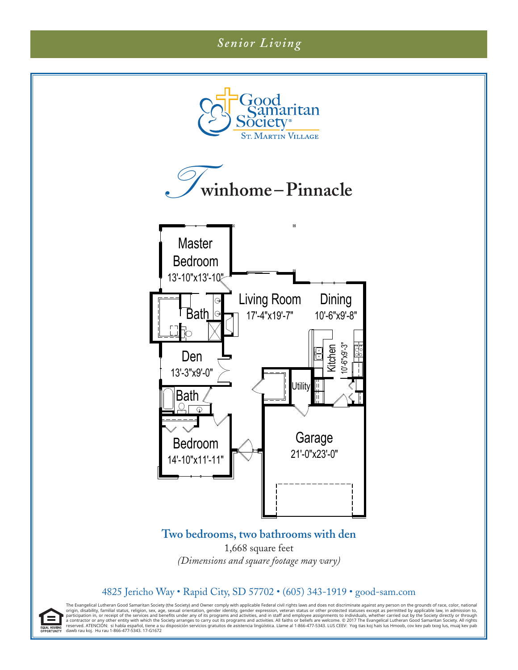



The Evangelical Lutheran Good Samaritan Society (the Society) and Owner comply with applicable Federal civil rights laws and does not discriminate against any person on the grounds of race, color, national origin, disability, familial status, religion, sex, age, sexual orientation, gender dentity, gender expression, veteran status or other protected statuses except as permitted by applicable law, in admission to, or receipt

E. EQUAL HOUSING<br>DPPORTUNITY